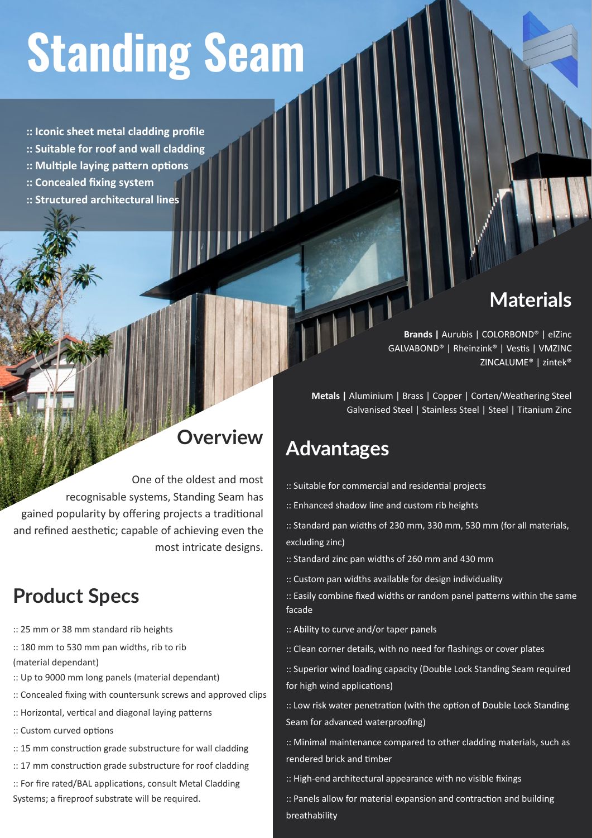# **Standing Seam**

**:: Iconic sheet metal cladding profile**

- **:: Suitable for roof and wall cladding**
- **:: Multiple laying pattern options**
- **:: Concealed fixing system**
- **:: Structured architectural lines**

### **Materials**

**Brands |** Aurubis | COLORBOND® | elZinc GALVABOND® | Rheinzink® | Vestis | VMZINC ZINCALUME® | zintek®

**Metals |** Aluminium | Brass | Copper | Corten/Weathering Steel Galvanised Steel | Stainless Steel | Steel | Titanium Zinc

#### **Advantages**

- :: Suitable for commercial and residential projects
- :: Enhanced shadow line and custom rib heights
- :: Standard pan widths of 230 mm, 330 mm, 530 mm (for all materials, excluding zinc)
- :: Standard zinc pan widths of 260 mm and 430 mm
- :: Custom pan widths available for design individuality

:: Easily combine fixed widths or random panel patterns within the same facade

- :: Ability to curve and/or taper panels
- :: Clean corner details, with no need for flashings or cover plates
- :: Superior wind loading capacity (Double Lock Standing Seam required for high wind applications)

:: Low risk water penetration (with the option of Double Lock Standing Seam for advanced waterproofing)

:: Minimal maintenance compared to other cladding materials, such as rendered brick and timber

:: High-end architectural appearance with no visible fixings

:: Panels allow for material expansion and contraction and building breathability

### **Overview**

One of the oldest and most recognisable systems, Standing Seam has gained popularity by offering projects a traditional and refined aesthetic; capable of achieving even the most intricate designs.

## **Product Specs**

- :: 25 mm or 38 mm standard rib heights
- :: 180 mm to 530 mm pan widths, rib to rib
- (material dependant)
- :: Up to 9000 mm long panels (material dependant)
- :: Concealed fixing with countersunk screws and approved clips
- :: Horizontal, vertical and diagonal laying patterns
- :: Custom curved options
- :: 15 mm construction grade substructure for wall cladding
- :: 17 mm construction grade substructure for roof cladding

:: For fire rated/BAL applications, consult Metal Cladding Systems; a fireproof substrate will be required.